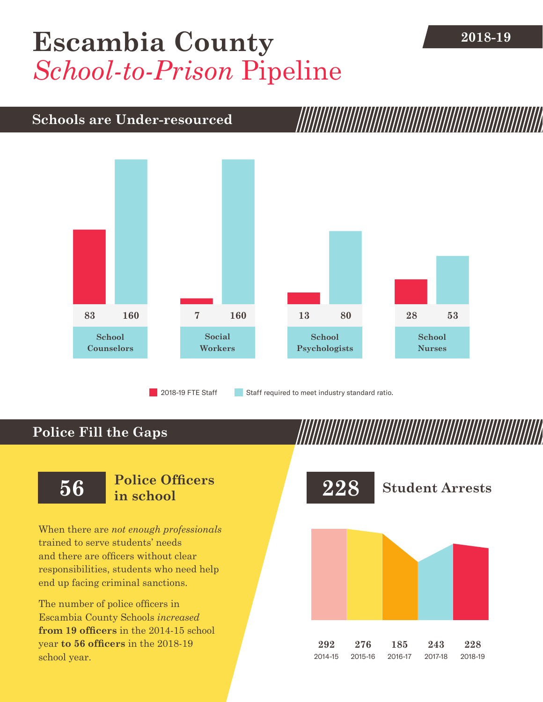# [Escambia County](DBF_County) 2018-19 *School-to-Prison* Pipeline

## **Schools are Under-resourced**



2018-19 FTE Staff **Staff required to meet industry standard ratio.** 

### **Police Fill the Gaps**

When there are *not enough professionals* trained to serve students' needs and there are officers without clear responsibilities, students who need help end up facing criminal sanctions.

The number of police officers in [Escambia County](DBF_County) Schools *increased* **from [19](DBF_PO1415) officers** in the 2014-15 school year **to [56](DBF_PO) officers** in the 2018-19 school year.